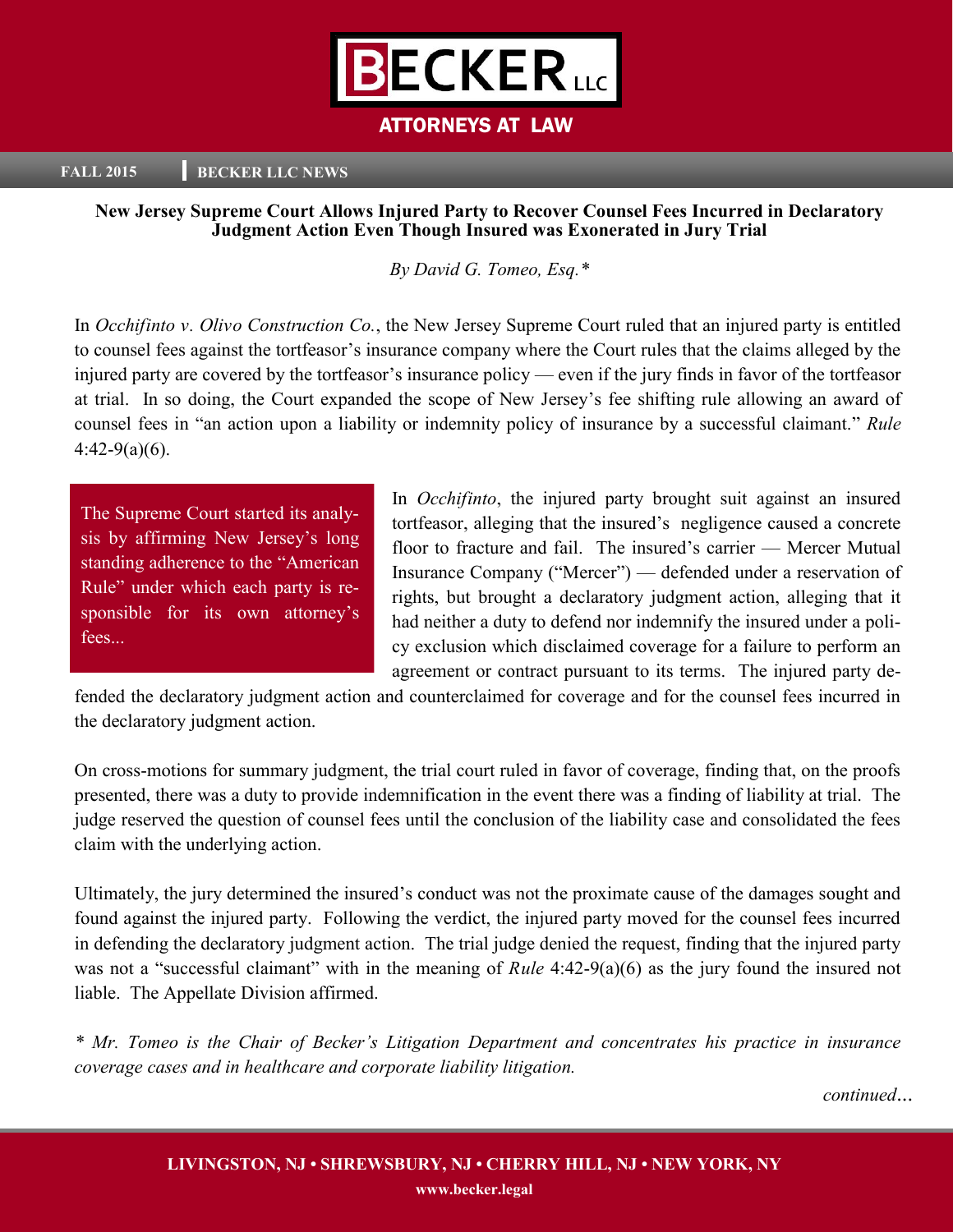

# ATTORNEYS AT LAW

#### **FALL 2015 BECKER LLC NEWS**

### **New Jersey Supreme Court Allows Injured Party to Recover Counsel Fees Incurred in Declaratory Judgment Action Even Though Insured was Exonerated in Jury Trial**

*By David G. Tomeo, Esq.\**

In *Occhifinto v. Olivo Construction Co.*, the New Jersey Supreme Court ruled that an injured party is entitled to counsel fees against the tortfeasor's insurance company where the Court rules that the claims alleged by the injured party are covered by the tortfeasor's insurance policy — even if the jury finds in favor of the tortfeasor at trial. In so doing, the Court expanded the scope of New Jersey's fee shifting rule allowing an award of counsel fees in "an action upon a liability or indemnity policy of insurance by a successful claimant." *Rule*  $4:42-9(a)(6)$ .

The Supreme Court started its analysis by affirming New Jersey's long standing adherence to the "American Rule" under which each party is responsible for its own attorney's fees...

In *Occhifinto*, the injured party brought suit against an insured tortfeasor, alleging that the insured's negligence caused a concrete floor to fracture and fail. The insured's carrier — Mercer Mutual Insurance Company ("Mercer") — defended under a reservation of rights, but brought a declaratory judgment action, alleging that it had neither a duty to defend nor indemnify the insured under a policy exclusion which disclaimed coverage for a failure to perform an agreement or contract pursuant to its terms. The injured party de-

fended the declaratory judgment action and counterclaimed for coverage and for the counsel fees incurred in the declaratory judgment action.

On cross-motions for summary judgment, the trial court ruled in favor of coverage, finding that, on the proofs presented, there was a duty to provide indemnification in the event there was a finding of liability at trial. The judge reserved the question of counsel fees until the conclusion of the liability case and consolidated the fees claim with the underlying action.

Ultimately, the jury determined the insured's conduct was not the proximate cause of the damages sought and found against the injured party. Following the verdict, the injured party moved for the counsel fees incurred in defending the declaratory judgment action. The trial judge denied the request, finding that the injured party was not a "successful claimant" with in the meaning of *Rule* 4:42-9(a)(6) as the jury found the insured not liable. The Appellate Division affirmed.

*\* Mr. Tomeo is the Chair of Becker's Litigation Department and concentrates his practice in insurance coverage cases and in healthcare and corporate liability litigation.*

*continued*...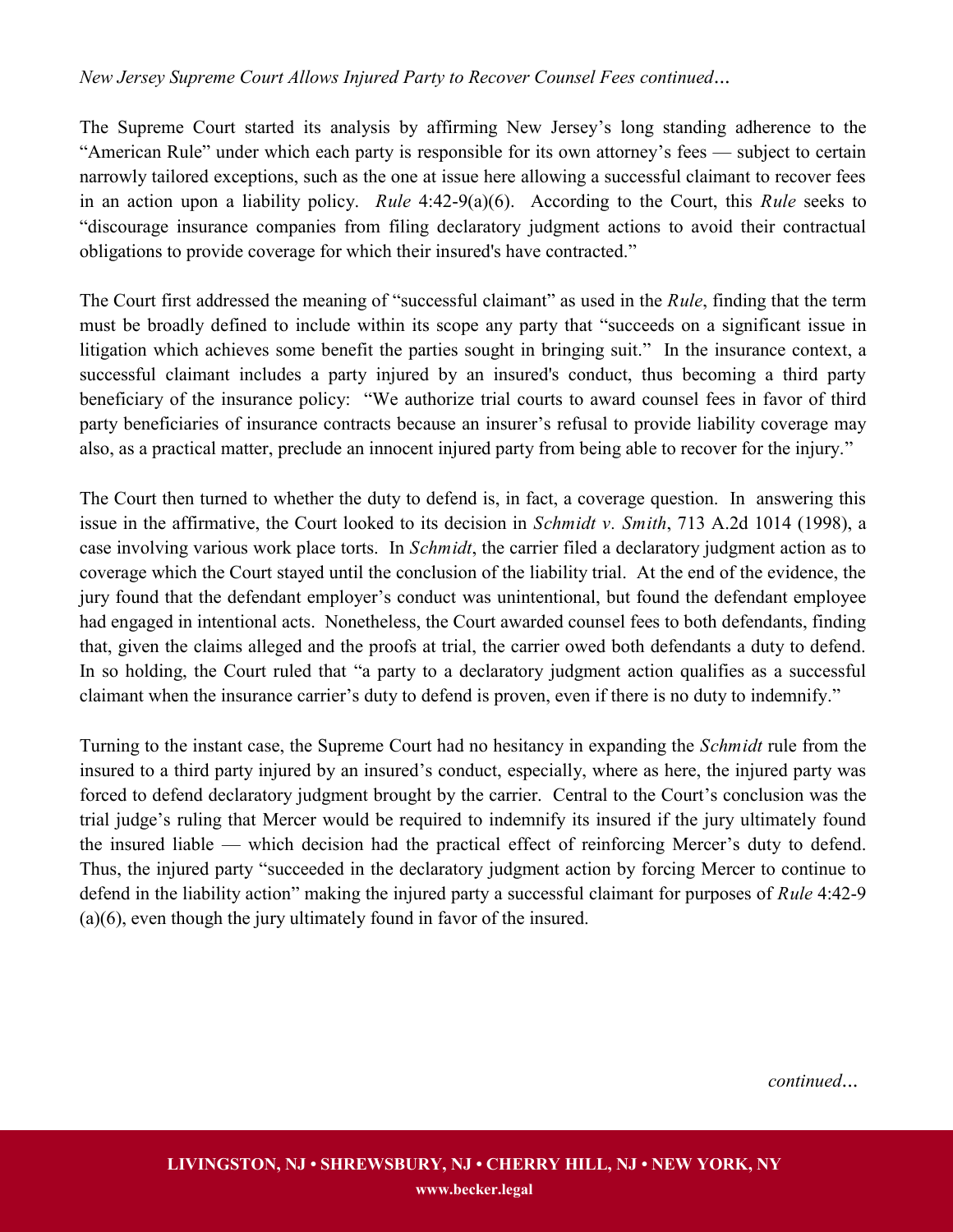## *New Jersey Supreme Court Allows Injured Party to Recover Counsel Fees continued*...

The Supreme Court started its analysis by affirming New Jersey's long standing adherence to the "American Rule" under which each party is responsible for its own attorney's fees — subject to certain narrowly tailored exceptions, such as the one at issue here allowing a successful claimant to recover fees in an action upon a liability policy. *Rule* 4:42-9(a)(6). According to the Court, this *Rule* seeks to "discourage insurance companies from filing declaratory judgment actions to avoid their contractual obligations to provide coverage for which their insured's have contracted."

The Court first addressed the meaning of "successful claimant" as used in the *Rule*, finding that the term must be broadly defined to include within its scope any party that "succeeds on a significant issue in litigation which achieves some benefit the parties sought in bringing suit." In the insurance context, a successful claimant includes a party injured by an insured's conduct, thus becoming a third party beneficiary of the insurance policy: "We authorize trial courts to award counsel fees in favor of third party beneficiaries of insurance contracts because an insurer's refusal to provide liability coverage may also, as a practical matter, preclude an innocent injured party from being able to recover for the injury."

The Court then turned to whether the duty to defend is, in fact, a coverage question. In answering this issue in the affirmative, the Court looked to its decision in *Schmidt v. Smith*, 713 A.2d 1014 (1998), a case involving various work place torts. In *Schmidt*, the carrier filed a declaratory judgment action as to coverage which the Court stayed until the conclusion of the liability trial. At the end of the evidence, the jury found that the defendant employer's conduct was unintentional, but found the defendant employee had engaged in intentional acts. Nonetheless, the Court awarded counsel fees to both defendants, finding that, given the claims alleged and the proofs at trial, the carrier owed both defendants a duty to defend. In so holding, the Court ruled that "a party to a declaratory judgment action qualifies as a successful claimant when the insurance carrier's duty to defend is proven, even if there is no duty to indemnify."

Turning to the instant case, the Supreme Court had no hesitancy in expanding the *Schmidt* rule from the insured to a third party injured by an insured's conduct, especially, where as here, the injured party was forced to defend declaratory judgment brought by the carrier. Central to the Court's conclusion was the trial judge's ruling that Mercer would be required to indemnify its insured if the jury ultimately found the insured liable — which decision had the practical effect of reinforcing Mercer's duty to defend. Thus, the injured party "succeeded in the declaratory judgment action by forcing Mercer to continue to defend in the liability action" making the injured party a successful claimant for purposes of *Rule* 4:42-9 (a)(6), even though the jury ultimately found in favor of the insured.

*continued*...